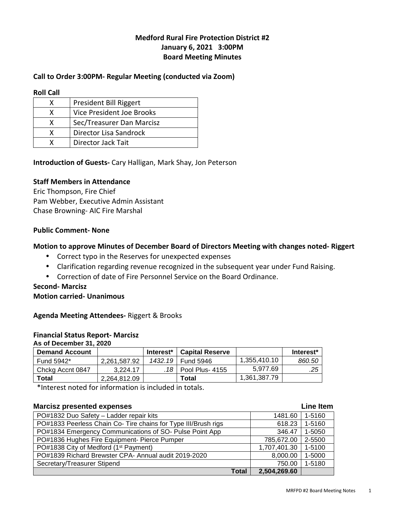# **Medford Rural Fire Protection District #2 January 6, 2021 3:00PM Board Meeting Minutes**

# **Call to Order 3:00PM- Regular Meeting (conducted via Zoom)**

**Roll Call** 

| x | President Bill Riggert    |
|---|---------------------------|
| x | Vice President Joe Brooks |
| x | Sec/Treasurer Dan Marcisz |
| x | Director Lisa Sandrock    |
|   | Director Jack Tait        |

## **Introduction of Guests-** Cary Halligan, Mark Shay, Jon Peterson

### **Staff Members in Attendance**

Eric Thompson, Fire Chief Pam Webber, Executive Admin Assistant Chase Browning- AIC Fire Marshal

### **Public Comment- None**

### **Motion to approve Minutes of December Board of Directors Meeting with changes noted- Riggert**

- Correct typo in the Reserves for unexpected expenses
- Clarification regarding revenue recognized in the subsequent year under Fund Raising.
- Correction of date of Fire Personnel Service on the Board Ordinance.

### **Second- Marcisz**

### **Motion carried- Unanimous**

**Agenda Meeting Attendees-** Riggert & Brooks

### **Financial Status Report- Marcisz**

**As of December 31, 2020** 

| <b>Demand Account</b> |              | Interest* | <b>Capital Reserve</b> |              | Interest* |
|-----------------------|--------------|-----------|------------------------|--------------|-----------|
| Fund 5942*            | 2.261.587.92 |           | 1432.19   Fund 5946    | 1,355,410.10 | 860.50    |
| Chckg Accnt 0847      | 3.224.17     |           | .18   Pool Plus- 4155  | 5.977.69     | .25       |
| Total                 | 2,264,812.09 |           | Total                  | 1,361,387.79 |           |

\*Interest noted for information is included in totals.

| <b>Marcisz presented expenses</b>                              |              | <b>Line Item</b> |
|----------------------------------------------------------------|--------------|------------------|
| PO#1832 Duo Safety - Ladder repair kits                        | 1481.60      | 1-5160           |
| PO#1833 Peerless Chain Co- Tire chains for Type III/Brush rigs | 618.23       | 1-5160           |
| PO#1834 Emergency Communications of SO- Pulse Point App        | 346.47       | 1-5050           |
| PO#1836 Hughes Fire Equipment- Pierce Pumper                   | 785,672.00   | 2-5500           |
| PO#1838 City of Medford (1 <sup>st</sup> Payment)              | 1,707,401.30 | 1-5100           |
| PO#1839 Richard Brewster CPA- Annual audit 2019-2020           | 8,000.00     | 1-5000           |
| Secretary/Treasurer Stipend                                    | 750.00       | 1-5180           |
| Total                                                          | 2,504,269.60 |                  |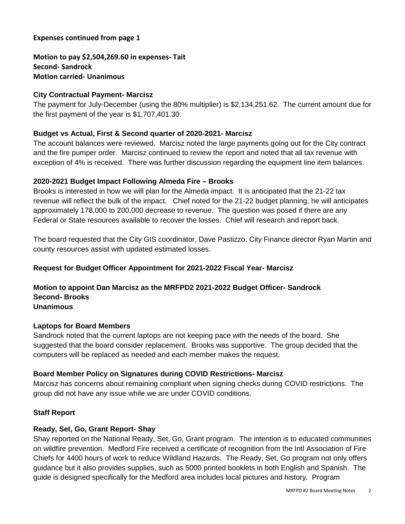## **Expenses continued from page 1**

**Motion to pay \$2,504,269.60 in expenses- Tait Second- Sandrock Motion carried- Unanimous** 

# **City Contractual Payment- Marcisz**

The payment for July-December (using the 80% multiplier) is \$2,134,251.62. The current amount due for the first payment of the year is \$1,707,401.30.

# **Budget vs Actual, First & Second quarter of 2020-2021- Marcisz**

The account balances were reviewed. Marcisz noted the large payments going out for the City contract and the fire pumper order. Marcisz continued to review the report and noted that all tax revenue with exception of 4% is received. There was further discussion regarding the equipment line item balances.

# **2020-2021 Budget Impact Following Almeda Fire – Brooks**

Brooks is interested in how we will plan for the Almeda impact. It is anticipated that the 21-22 tax revenue will reflect the bulk of the impact. Chief noted for the 21-22 budget planning, he will anticipates approximately 178,000 to 200,000 decrease to revenue. The question was posed if there are any Federal or State resources available to recover the losses. Chief will research and report back.

The board requested that the City GIS coordinator, Dave Pastizzo, City Finance director Ryan Martin and county resources assist with updated estimated losses.

## **Request for Budget Officer Appointment for 2021-2022 Fiscal Year- Marcisz**

## **Motion to appoint Dan Marcisz as the MRFPD2 2021-2022 Budget Officer- Sandrock Second- Brooks Unanimous**

# **Laptops for Board Members**

Sandrock noted that the current laptops are not keeping pace with the needs of the board. She suggested that the board consider replacement. Brooks was supportive. The group decided that the computers will be replaced as needed and each member makes the request.

# **Board Member Policy on Signatures during COVID Restrictions- Marcisz**

Marcisz has concerns about remaining compliant when signing checks during COVID restrictions. The group did not have any issue while we are under COVID conditions.

# **Staff Report**

# **Ready, Set, Go, Grant Report- Shay**

Shay reported on the National Ready, Set, Go, Grant program. The intention is to educated communities on wildfire prevention. Medford Fire received a certificate of recognition from the Intl Association of Fire Chiefs for 4400 hours of work to reduce Wildland Hazards. The Ready, Set, Go program not only offers guidance but it also provides supplies, such as 5000 printed booklets in both English and Spanish. The guide is designed specifically for the Medford area includes local pictures and history. Program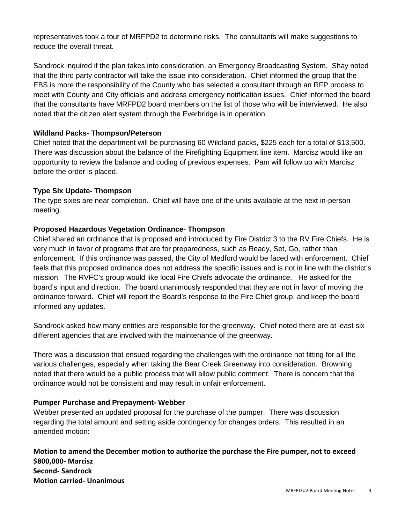representatives took a tour of MRFPD2 to determine risks. The consultants will make suggestions to reduce the overall threat.

Sandrock inquired if the plan takes into consideration, an Emergency Broadcasting System. Shay noted that the third party contractor will take the issue into consideration. Chief informed the group that the EBS is more the responsibility of the County who has selected a consultant through an RFP process to meet with County and City officials and address emergency notification issues. Chief informed the board that the consultants have MRFPD2 board members on the list of those who will be interviewed. He also noted that the citizen alert system through the Everbridge is in operation.

# **Wildland Packs- Thompson/Peterson**

Chief noted that the department will be purchasing 60 Wildland packs, \$225 each for a total of \$13,500. There was discussion about the balance of the Firefighting Equipment line item. Marcisz would like an opportunity to review the balance and coding of previous expenses. Pam will follow up with Marcisz before the order is placed.

# **Type Six Update- Thompson**

The type sixes are near completion. Chief will have one of the units available at the next in-person meeting.

# **Proposed Hazardous Vegetation Ordinance- Thompson**

Chief shared an ordinance that is proposed and introduced by Fire District 3 to the RV Fire Chiefs. He is very much in favor of programs that are for preparedness, such as Ready, Set, Go, rather than enforcement. If this ordinance was passed, the City of Medford would be faced with enforcement. Chief feels that this proposed ordinance does not address the specific issues and is not in line with the district's mission. The RVFC's group would like local Fire Chiefs advocate the ordinance. He asked for the board's input and direction. The board unanimously responded that they are not in favor of moving the ordinance forward. Chief will report the Board's response to the Fire Chief group, and keep the board informed any updates.

Sandrock asked how many entities are responsible for the greenway. Chief noted there are at least six different agencies that are involved with the maintenance of the greenway.

There was a discussion that ensued regarding the challenges with the ordinance not fitting for all the various challenges, especially when taking the Bear Creek Greenway into consideration. Browning noted that there would be a public process that will allow public comment. There is concern that the ordinance would not be consistent and may result in unfair enforcement.

# **Pumper Purchase and Prepayment- Webber**

Webber presented an updated proposal for the purchase of the pumper. There was discussion regarding the total amount and setting aside contingency for changes orders. This resulted in an amended motion:

**Motion to amend the December motion to authorize the purchase the Fire pumper, not to exceed \$800,000- Marcisz Second- Sandrock Motion carried- Unanimous**